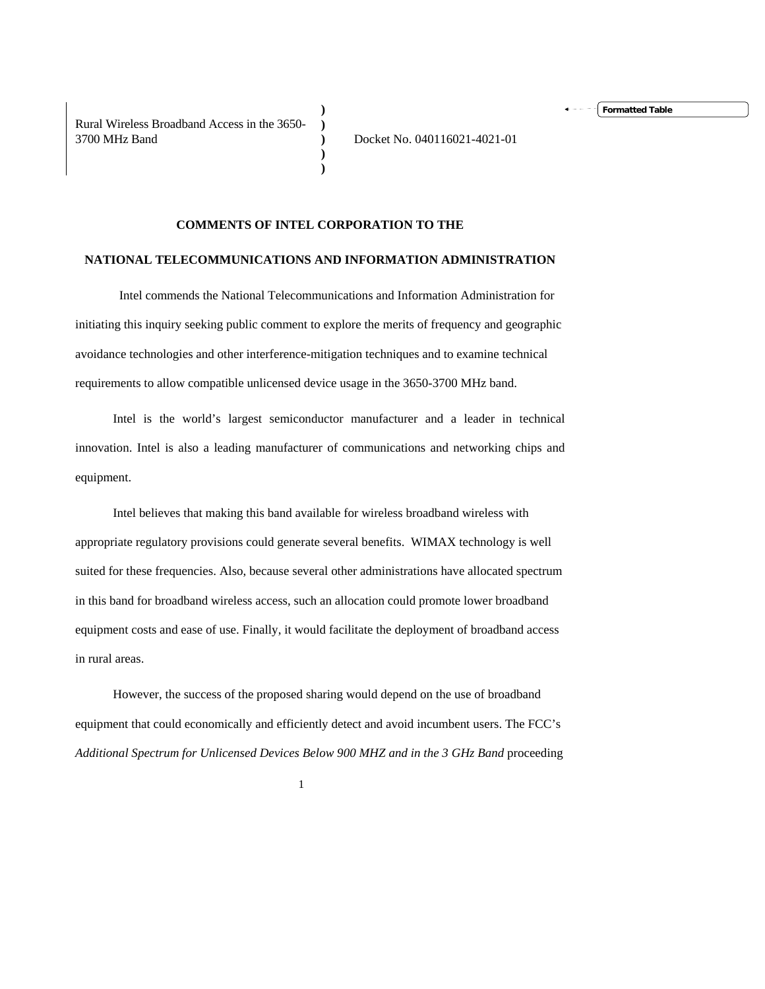Rural Wireless Broadband Access in the 3650- 3700 MHz Band

**Formatted Table**

## **COMMENTS OF INTEL CORPORATION TO THE**

**) ) ) ) )** 

## **NATIONAL TELECOMMUNICATIONS AND INFORMATION ADMINISTRATION**

 Intel commends the National Telecommunications and Information Administration for initiating this inquiry seeking public comment to explore the merits of frequency and geographic avoidance technologies and other interference-mitigation techniques and to examine technical requirements to allow compatible unlicensed device usage in the 3650-3700 MHz band.

Intel is the world's largest semiconductor manufacturer and a leader in technical innovation. Intel is also a leading manufacturer of communications and networking chips and equipment.

Intel believes that making this band available for wireless broadband wireless with appropriate regulatory provisions could generate several benefits. WIMAX technology is well suited for these frequencies. Also, because several other administrations have allocated spectrum in this band for broadband wireless access, such an allocation could promote lower broadband equipment costs and ease of use. Finally, it would facilitate the deployment of broadband access in rural areas.

However, the success of the proposed sharing would depend on the use of broadband equipment that could economically and efficiently detect and avoid incumbent users. The FCC's *Additional Spectrum for Unlicensed Devices Below 900 MHZ and in the 3 GHz Band* proceeding

 $1$